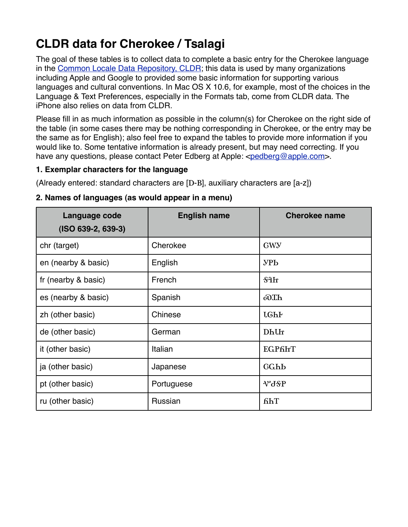# **CLDR data for Cherokee / Tsalagi**

The goal of these tables is to collect data to complete a basic entry for the Cherokee language in the [Common Locale Data Repository, CLDR;](http://cldr.unicode.org/) this data is used by many organizations including Apple and Google to provided some basic information for supporting various languages and cultural conventions. In Mac OS X 10.6, for example, most of the choices in the Language & Text Preferences, especially in the Formats tab, come from CLDR data. The iPhone also relies on data from CLDR.

Please fill in as much information as possible in the column(s) for Cherokee on the right side of the table (in some cases there may be nothing corresponding in Cherokee, or the entry may be the same as for English); also feel free to expand the tables to provide more information if you would like to. Some tentative information is already present, but may need correcting. If you have any questions, please contact Peter Edberg at Apple: <[pedberg@apple.com](mailto:pedberg@apple.com)>.

### **1. Exemplar characters for the language**

(Already entered: standard characters are [D-B], auxiliary characters are [a-z])

| Language code<br>$(ISO 639-2, 639-3)$ | <b>English name</b> | <b>Cherokee name</b> |
|---------------------------------------|---------------------|----------------------|
| chr (target)                          | Cherokee            | GWY                  |
| en (nearby & basic)                   | English             | $\rm VPb$            |
| fr (nearby & basic)                   | French              | \$4h                 |
| es (nearby & basic)                   | Spanish             | $o0$ Th              |
| zh (other basic)                      | Chinese             | <b>LGhF</b>          |
| de (other basic)                      | German              | Dhlh                 |
| it (other basic)                      | Italian             | <b>EGP6FT</b>        |
| ja (other basic)                      | Japanese            | GGhb                 |
| pt (other basic)                      | Portuguese          | V°JSP                |
| ru (other basic)                      | Russian             | fihT                 |

### **2. Names of languages (as would appear in a menu)**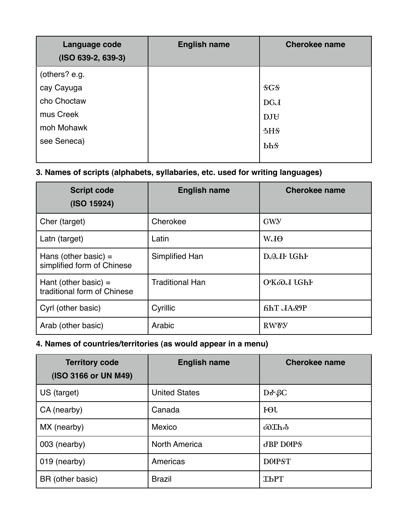| Language code<br>$(ISO 639-2, 639-3)$ | <b>English name</b> | <b>Cherokee name</b>   |
|---------------------------------------|---------------------|------------------------|
| (others? e.g.                         |                     |                        |
| cay Cayuga                            |                     | SGS                    |
| cho Choctaw                           |                     | <b>DGJ</b>             |
| mus Creek                             |                     | <b>DJH</b>             |
| moh Mohawk                            |                     | 5H <sub>5</sub>        |
| see Seneca)                           |                     | <b>bh</b> <sup>§</sup> |

# **3. Names of scripts (alphabets, syllabaries, etc. used for writing languages)**

| <b>Script code</b><br>(ISO 15924)                     | <b>English name</b>    | <b>Cherokee name</b> |
|-------------------------------------------------------|------------------------|----------------------|
| Cher (target)                                         | Cherokee               | <b>GWY</b>           |
| Latn (target)                                         | Latin                  | $WJ\Theta$           |
| Hans (other basic) $=$<br>simplified form of Chinese  | Simplified Han         | D.A.JF LGhF          |
| Hant (other basic) $=$<br>traditional form of Chinese | <b>Traditional Han</b> | OKoOJ UGhF           |
| Cyrl (other basic)                                    | Cyrillic               | <b>fihT</b> JA&P     |
| Arab (other basic)                                    | Arabic                 | <b>RWOY</b>          |

## **4. Names of countries/territories (as would appear in a menu)**

| <b>Territory code</b><br>(ISO 3166 or UN M49) | <b>English name</b>  | <b>Cherokee name</b> |
|-----------------------------------------------|----------------------|----------------------|
| US (target)                                   | <b>United States</b> | $D\delta \Omega$     |
| CA (nearby)                                   | Canada               | $F \Theta L$         |
| MX (nearby)                                   | Mexico               | oOTh <sub>2</sub>    |
| 003 (nearby)                                  | <b>North America</b> | <b>JBP DOPS</b>      |
| 019 (nearby)                                  | Americas             | <b>DOIPST</b>        |
| BR (other basic)                              | <b>Brazil</b>        | <b>TPLA</b>          |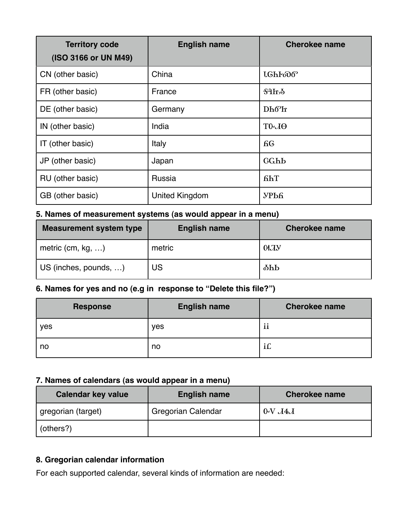| <b>Territory code</b><br>(ISO 3166 or UN M49) | <b>English name</b> | <b>Cherokee name</b>   |
|-----------------------------------------------|---------------------|------------------------|
| CN (other basic)                              | China               | <b>LGhFoo6</b>         |
| FR (other basic)                              | France              | $$3h\delta$            |
| DE (other basic)                              | Germany             | $Dh6$ <sup>o</sup> $h$ |
| IN (other basic)                              | India               | $T0 - J\Theta$         |
| IT (other basic)                              | Italy               | <b>6G</b>              |
| JP (other basic)                              | Japan               | GGhb                   |
| RU (other basic)                              | Russia              | <b>find</b>            |
| GB (other basic)                              | United Kingdom      | УРЬЯ                   |

# **5. Names of measurement systems (as would appear in a menu)**

| <b>Measurement system type</b> | <b>English name</b> | <b>Cherokee name</b> |
|--------------------------------|---------------------|----------------------|
| metric (cm, $kg, \ldots$ )     | metric              | 01JY                 |
| US (inches, pounds, )          | US                  | $\delta$ hb          |

# **6. Names for yes and no (e.g in response to "Delete this file?")**

| <b>Response</b> | <b>English name</b> | <b>Cherokee name</b> |
|-----------------|---------------------|----------------------|
| yes             | yes                 | ii                   |
| no              | no                  | $\cdot$ $\sim$<br>ПL |

### **7. Names of calendars (as would appear in a menu)**

| <b>Calendar key value</b> | <b>English name</b>       | <b>Cherokee name</b> |
|---------------------------|---------------------------|----------------------|
| gregorian (target)        | <b>Gregorian Calendar</b> | $0-VJA$              |
| (others?)                 |                           |                      |

# **8. Gregorian calendar information**

For each supported calendar, several kinds of information are needed: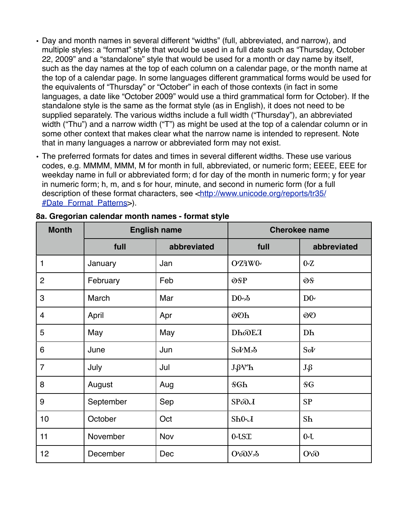- Day and month names in several different "widths" (full, abbreviated, and narrow), and multiple styles: a "format" style that would be used in a full date such as "Thursday, October 22, 2009" and a "standalone" style that would be used for a month or day name by itself, such as the day names at the top of each column on a calendar page, or the month name at the top of a calendar page. In some languages different grammatical forms would be used for the equivalents of "Thursday" or "October" in each of those contexts (in fact in some languages, a date like "October 2009" would use a third grammatical form for October). If the standalone style is the same as the format style (as in English), it does not need to be supplied separately. The various widths include a full width ("Thursday"), an abbreviated width ("Thu") and a narrow width ("T") as might be used at the top of a calendar column or in some other context that makes clear what the narrow name is intended to represent. Note that in many languages a narrow or abbreviated form may not exist.
- The preferred formats for dates and times in several different widths. These use various codes, e.g. MMMM, MMM, M for month in full, abbreviated, or numeric form; EEEE, EEE for weekday name in full or abbreviated form; d for day of the month in numeric form; y for year in numeric form; h, m, and s for hour, minute, and second in numeric form (for a full description of these format characters, see [<http://www.unicode.org/reports/tr35/](http://www.unicode.org/reports/tr35/%23Date_Format_Patterns) [#Date\\_Format\\_Patterns](http://www.unicode.org/reports/tr35/%23Date_Format_Patterns)>).

| <b>Month</b>   | <b>English name</b> |             | <b>Cherokee name</b>            |                |
|----------------|---------------------|-------------|---------------------------------|----------------|
|                | full                | abbreviated | full                            | abbreviated    |
| 1              | January             | Jan         | OZAW0                           | 0Z             |
| $\overline{2}$ | February            | Feb         | OSP                             | OS             |
| 3              | March               | Mar         | $D0 - \delta$                   | $D0-$          |
| $\overline{4}$ | April               | Apr         | <b>OOh</b>                      | 00             |
| 5              | May                 | May         | <b>DhoDEJ</b>                   | Dh             |
| 6              | June                | Jun         | Sol <sup>M</sup> <sub>2</sub> b | Sol            |
| $\overline{7}$ | July                | Jul         | <b>J</b> <sup>W</sup> h         | $J\mathcal{G}$ |
| 8              | August              | Aug         | <b>SGh</b>                      | <b>SG</b>      |
| 9              | September           | Sep         | SPOD                            | SP             |
| 10             | October             | Oct         | $Sh0\lambda$                    | Sh             |
| 11             | November            | Nov         | 0-LST                           | $0 - 0$        |
| 12             | December            | Dec         | <b>ОфУД</b>                     | O <sub>0</sub> |

#### **8a. Gregorian calendar month names - format style**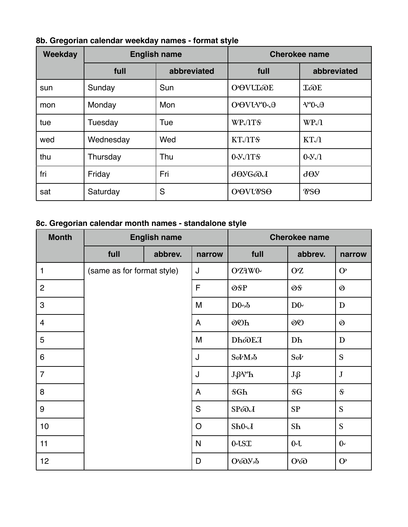| Weekday | <b>English name</b> |             | <b>Cherokee name</b>       |                                                                          |
|---------|---------------------|-------------|----------------------------|--------------------------------------------------------------------------|
|         | full                | abbreviated | full                       | abbreviated                                                              |
| sun     | Sunday              | Sun         | <b>O</b> OVULODE           | <b>ToOE</b>                                                              |
| mon     | Monday              | Mon         | OOVUVO-A                   | $V^{\circ}0\negthinspace \cdot \negthinspace \cdot \negthinspace \theta$ |
| tue     | Tuesday             | Tue         | <b>WPJTS</b>               | $W P \Lambda$                                                            |
| wed     | Wednesday           | Wed         | KT.OTS                     | KTJ                                                                      |
| thu     | Thursday            | Thu         | $0 - Y \cdot 0$            | $0 - Y \Omega$                                                           |
| fri     | Friday              | Fri         | $J\Theta Y$ $G \partial J$ | $\partial \Theta$                                                        |
| sat     | Saturday            | S           | <b>O</b> OVUTSO            | $\mathcal{V}$ s $\Theta$                                                 |

**8b. Gregorian calendar weekday names - format style**

# **8c. Gregorian calendar month names - standalone style**

| <b>Month</b>     | <b>English name</b>        |         |               |                                                       | <b>Cherokee name</b> |                      |
|------------------|----------------------------|---------|---------------|-------------------------------------------------------|----------------------|----------------------|
|                  | full                       | abbrev. | narrow        | full                                                  | abbrev.              | narrow               |
| 1                | (same as for format style) |         | J             | OZAWO-                                                | <b>OZ</b>            | $\mathbf{O}$         |
| $\overline{c}$   |                            |         | F             | OSP                                                   | OS                   | $\mathbf{\tilde{Q}}$ |
| 3                |                            |         | M             | $D0 - \delta$                                         | D0 <sub>1</sub>      | $\mathbf D$          |
| $\overline{4}$   |                            |         | A             | 00h                                                   | 00                   | $\mathfrak{d}$       |
| 5                |                            |         | M             | <b>DhoDEJ</b>                                         | D <sub>h</sub>       | $\mathbf D$          |
| 6                |                            |         | J             | Sol <sup>M</sup> <sub>2</sub> b                       | SoV                  | $\mathbf S$          |
| $\overline{7}$   |                            |         | J             | <b>J</b> <sup>W</sup> h                               | $J\mathcal{L}$       | $\bf J$              |
| 8                |                            |         | A             | <b>SGh</b>                                            | <b>SG</b>            | $\mathcal{S}$        |
| $\boldsymbol{9}$ |                            |         | ${\mathsf S}$ | SPOD                                                  | SP                   | S                    |
| 10               |                            |         | $\mathsf{O}$  | $Sh0-\lambda$                                         | Sh                   | S                    |
| 11               |                            |         | N             | $0 - \text{LST}$                                      | $0 - 0$              | $0 -$                |
| 12               |                            |         | D             | $O$ <sup>o</sup> O <sub><math>V</math></sub> $\delta$ | O <sub>0</sub>       | $\mathbf{O}$         |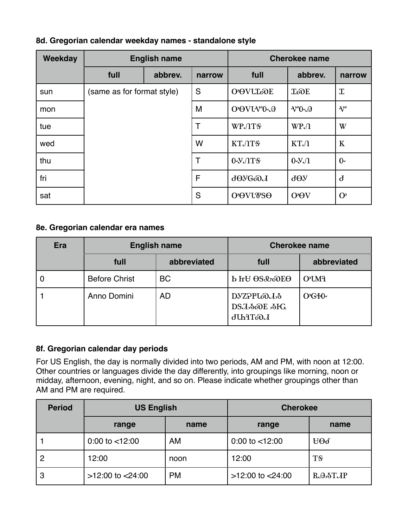|  |  |  |  |  | 8d. Gregorian calendar weekday names - standalone style |
|--|--|--|--|--|---------------------------------------------------------|
|--|--|--|--|--|---------------------------------------------------------|

| <b>Weekday</b> | <b>English name</b>        |         | <b>Cherokee name</b> |                            |                                     |                       |
|----------------|----------------------------|---------|----------------------|----------------------------|-------------------------------------|-----------------------|
|                | full                       | abbrev. | narrow               | full                       | abbrev.                             | narrow                |
| sun            | (same as for format style) |         | S                    | <b>O</b> OVULODE           | <b>ToOE</b>                         | $\mathbf T$           |
| mon            |                            |         | M                    | OOVIVO-A                   | $\vee$ <sup>o</sup> $\vee$ $\theta$ | $\mathcal{N}^{\circ}$ |
| tue            |                            |         | T                    | <b>WPJTS</b>               | $W P \Lambda$                       | W                     |
| wed            |                            |         | W                    | KT.OTS                     | КТЛ                                 | $\bf K$               |
| thu            |                            |         | Τ                    | $0 - Y \cdot 0$            | $0 - Y \Omega$                      | $0^{\circ}$           |
| fri            |                            |         | F                    | $J\Theta Y$ $G \partial J$ | $\rm{d}\Theta$                      | $\mathbf{d}$          |
| sat            |                            |         | S                    | <b>O</b> OVUTSO            | <b>O</b> OV                         | $\mathbf{O}^{\rho}$   |

#### **8e. Gregorian calendar era names**

| <b>Era</b> | <b>English name</b>  |             | <b>Cherokee name</b>                                         |             |
|------------|----------------------|-------------|--------------------------------------------------------------|-------------|
|            | full                 | abbreviated | full                                                         | abbreviated |
|            | <b>Before Christ</b> | <b>BC</b>   | <b>b</b> Ir <sub>U</sub> OS& <sub>O</sub> DEO                | <b>OUMA</b> |
|            | Anno Domini          | <b>AD</b>   | DYZPPLoDJ <sub>2</sub> 5<br>DSJ-SOOE -SIG<br><b>JUhiToOJ</b> | OGHO-       |

### **8f. Gregorian calendar day periods**

For US English, the day is normally divided into two periods, AM and PM, with noon at 12:00. Other countries or languages divide the day differently, into groupings like morning, noon or midday, afternoon, evening, night, and so on. Please indicate whether groupings other than AM and PM are required.

| <b>Period</b>  | <b>US English</b>     |           | <b>Cherokee</b>       |                |
|----------------|-----------------------|-----------|-----------------------|----------------|
|                | range                 | name      | range                 | name           |
|                | $0.00$ to $< 12.00$   | <b>AM</b> | $0.00$ to $<$ 12:00   | $H\Theta \Phi$ |
| $\overline{2}$ | 12:00                 | noon      | 12:00                 | T <sub>S</sub> |
| 3              | $>12.00$ to $<$ 24:00 | <b>PM</b> | $>12.00$ to $<$ 24:00 | RAMTAP         |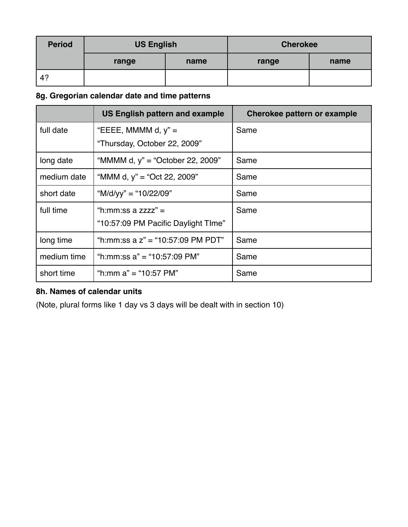| <b>Period</b> | <b>US English</b> |      | <b>Cherokee</b> |      |
|---------------|-------------------|------|-----------------|------|
|               | range             | name | range           | name |
| 4?            |                   |      |                 |      |

# **8g. Gregorian calendar date and time patterns**

|             | <b>US English pattern and example</b> | Cherokee pattern or example |
|-------------|---------------------------------------|-----------------------------|
| full date   | "EEEE, MMMM d, $y$ " =                | Same                        |
|             | "Thursday, October 22, 2009"          |                             |
| long date   | "MMMM d, y" = "October 22, 2009"      | Same                        |
| medium date | "MMM d, $y$ " = "Oct 22, 2009"        | Same                        |
| short date  | "M/d/yy" = "10/22/09"                 | Same                        |
| full time   | "h:mm:ss a zzzz" =                    | Same                        |
|             | "10:57:09 PM Pacific Daylight TIme"   |                             |
| long time   | "h:mm:ss a z" = "10:57:09 PM PDT"     | Same                        |
| medium time | "h:mm:ss $a$ " = "10:57:09 PM"        | Same                        |
| short time  | "h:mm a" = "10:57 PM"                 | Same                        |

# **8h. Names of calendar units**

(Note, plural forms like 1 day vs 3 days will be dealt with in section 10)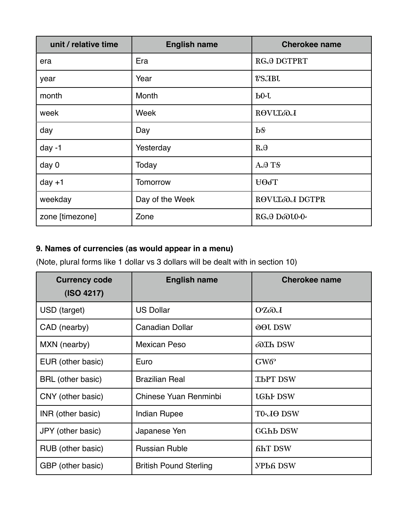| unit / relative time | <b>English name</b> | <b>Cherokee name</b>  |
|----------------------|---------------------|-----------------------|
| era                  | Era                 | RGA DGTPRT            |
| year                 | Year                | <b>?SJBU</b>          |
| month                | Month               | $P_0$                 |
| week                 | Week                | <b>ROVULOJ</b>        |
| day                  | Day                 | <b>P</b> <sub>8</sub> |
| day $-1$             | Yesterday           | $R \partial \theta$   |
| day 0                | Today               | AATS                  |
| day $+1$             | <b>Tomorrow</b>     | HOOT                  |
| weekday              | Day of the Week     | ROVULOJ DGTPR         |
| zone [timezone]      | Zone                | RGA DoOLO-O-          |

# **9. Names of currencies (as would appear in a menu)**

(Note, plural forms like 1 dollar vs 3 dollars will be dealt with in section 10)

| <b>Currency code</b><br>(ISO 4217) | <b>English name</b>           | <b>Cherokee name</b> |
|------------------------------------|-------------------------------|----------------------|
| USD (target)                       | <b>US Dollar</b>              | OZoDJ                |
| CAD (nearby)                       | <b>Canadian Dollar</b>        | <b>OOL DSW</b>       |
| MXN (nearby)                       | <b>Mexican Peso</b>           | oOTh DSW             |
| EUR (other basic)                  | Euro                          | $GW6^{\circ}$        |
| <b>BRL</b> (other basic)           | <b>Brazilian Real</b>         | <b>THPT DSW</b>      |
| CNY (other basic)                  | Chinese Yuan Renminbi         | <b>LGHF DSW</b>      |
| INR (other basic)                  | <b>Indian Rupee</b>           | TO-JO DSW            |
| JPY (other basic)                  | Japanese Yen                  | <b>GGhb DSW</b>      |
| RUB (other basic)                  | <b>Russian Ruble</b>          | <b>GhT DSW</b>       |
| GBP (other basic)                  | <b>British Pound Sterling</b> | <b>УРЬ6 DSW</b>      |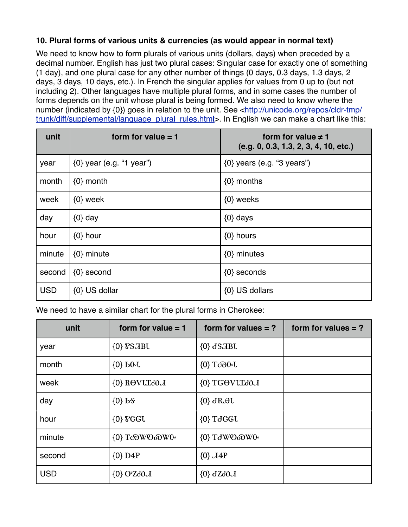# **10. Plural forms of various units & currencies (as would appear in normal text)**

We need to know how to form plurals of various units (dollars, days) when preceded by a decimal number. English has just two plural cases: Singular case for exactly one of something (1 day), and one plural case for any other number of things (0 days, 0.3 days, 1.3 days, 2 days, 3 days, 10 days, etc.). In French the singular applies for values from 0 up to (but not including 2). Other languages have multiple plural forms, and in some cases the number of forms depends on the unit whose plural is being formed. We also need to know where the number (indicated by  $\{0\}$ ) goes in relation to the unit. See [<http://unicode.org/repos/cldr-tmp/](http://unicode.org/repos/cldr-tmp/trunk/diff/supplemental/language_plural_rules.html) [trunk/diff/supplemental/language\\_plural\\_rules.html>](http://unicode.org/repos/cldr-tmp/trunk/diff/supplemental/language_plural_rules.html). In English we can make a chart like this:

| unit       | form for value $= 1$         | form for value $\neq$ 1<br>(e.g. 0, 0.3, 1.3, 2, 3, 4, 10, etc.) |
|------------|------------------------------|------------------------------------------------------------------|
| year       | $\{0\}$ year (e.g. "1 year") | $\{0\}$ years (e.g. "3 years")                                   |
| month      | $\{0\}$ month                | $\{0\}$ months                                                   |
| week       | $\{0\}$ week                 | $\{0\}$ weeks                                                    |
| day        | $\{0\}$ day                  | $\{0\}$ days                                                     |
| hour       | $\{0\}$ hour                 | $\{0\}$ hours                                                    |
| minute     | $\{0\}$ minute               | $\{0\}$ minutes                                                  |
| second     | $\{0\}$ second               | $\{0\}$ seconds                                                  |
| <b>USD</b> | {0} US dollar                | {0} US dollars                                                   |

We need to have a similar chart for the plural forms in Cherokee:

| unit       | form for value $= 1$                      | form for values $= ?$    | form for values $= ?$ |
|------------|-------------------------------------------|--------------------------|-----------------------|
| year       | $\{0\}$ $\sqrt{8}$ $\sqrt{3}$ $\sqrt{10}$ | $\{0\}$ JSJBL            |                       |
| month      | $\{0\}$ bo-U                              | {0} Tco0~U               |                       |
| week       | {0} ROVULOM                               | {0} TGOVULOM             |                       |
| day        | $\{0\}$ b $\$                             | $\{0\}$ dR. $\theta$ U   |                       |
| hour       | $\{0\}$ & $GGL$                           | $\{0\}$ TdGGU            |                       |
| minute     | {0} To WO WO                              | {0} TdWOoDW0~            |                       |
| second     | $\{0\}$ D4P                               | $\{0\}$ $\overline{A4P}$ |                       |
| <b>USD</b> | $\{0\}$ O'ZoO $J$                         | $\{0\}$ dZoO $J$         |                       |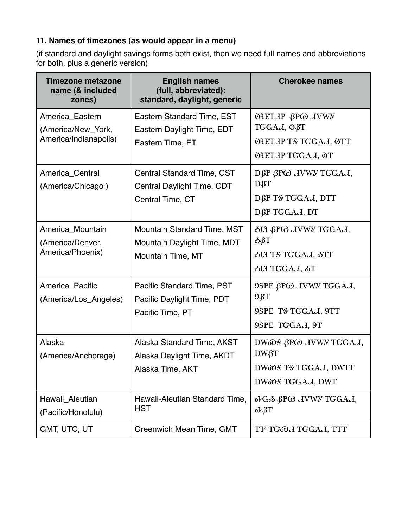# **11. Names of timezones (as would appear in a menu)**

(if standard and daylight savings forms both exist, then we need full names and abbreviations for both, plus a generic version)

| <b>Timezone metazone</b><br>name (& included<br>zones)         | <b>English names</b><br>(full, abbreviated):<br>standard, daylight, generic            | <b>Cherokee names</b>                                                                          |
|----------------------------------------------------------------|----------------------------------------------------------------------------------------|------------------------------------------------------------------------------------------------|
| America_Eastern<br>(America/New_York,<br>America/Indianapolis) | Eastern Standard Time, EST<br>Eastern Daylight Time, EDT<br>Eastern Time, ET           | <b>ΘΑΕΤΛΡ βΡω ΛΥWY</b><br>TGGAJ, OBT<br><b>OHETJP TS TGGAJ, OTT</b><br><b>OHETAP TGGAA, OT</b> |
| America_Central<br>(America/Chicago)                           | Central Standard Time, CST<br>Central Daylight Time, CDT<br>Central Time, CT           | DBP BPC JVWY TGGAJ,<br>DßT<br>DBP TS TGGAJ, DTT<br>DØP TGGAJ, DT                               |
| America_Mountain<br>(America/Denver,<br>America/Phoenix)       | <b>Mountain Standard Time, MST</b><br>Mountain Daylight Time, MDT<br>Mountain Time, MT | δU βPω JVWY TGGAJ,<br>δβТ<br><b>SUP TS TGGAJ, STT</b><br>ЫЯ ТGGAJ, ST                          |
| America_Pacific<br>(America/Los_Angeles)                       | Pacific Standard Time, PST<br>Pacific Daylight Time, PDT<br>Pacific Time, PT           | 9SPE βPω JVWY TGGAJ,<br>96T<br>9SPE TS TGGAJ, 9TT<br>9SPE TGGAJ, 9T                            |
| Alaska<br>(America/Anchorage)                                  | Alaska Standard Time, AKST<br>Alaska Daylight Time, AKDT<br>Alaska Time, AKT           | DWOOS BPCO JVWY TGGAJ,<br><b>DW</b> GT<br>DWOOS TS TGGAJ, DWTT<br>DWoOS TGGAJ, DWT             |
| Hawaii_Aleutian<br>(Pacific/Honolulu)                          | Hawaii-Aleutian Standard Time,<br><b>HST</b>                                           | ον G <sub>2</sub> δ βPω <i>JVWY</i> TGGA <i>J</i> ,<br>$\partial V \beta T$                    |
| GMT, UTC, UT                                                   | Greenwich Mean Time, GMT                                                               | TV TGOJ TGGAJ, TTT                                                                             |